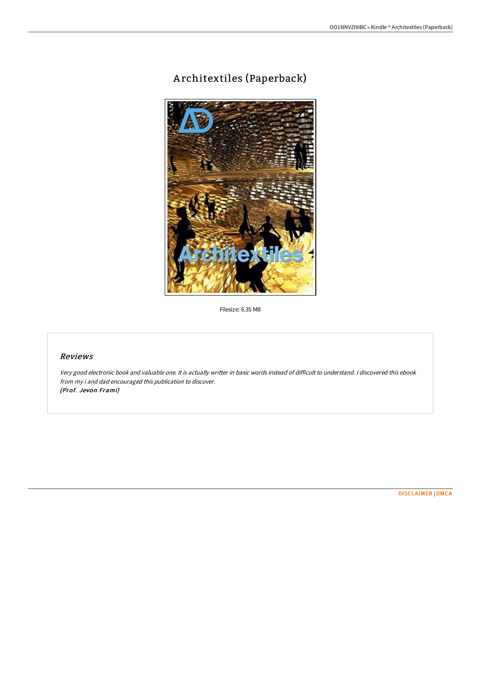# A rchitextiles (Paperback)



Filesize: 6.35 MB

### Reviews

Very good electronic book and valuable one. It is actually writter in basic words instead of difficult to understand. <sup>I</sup> discovered this ebook from my i and dad encouraged this publication to discover. (Prof. Jevon Frami)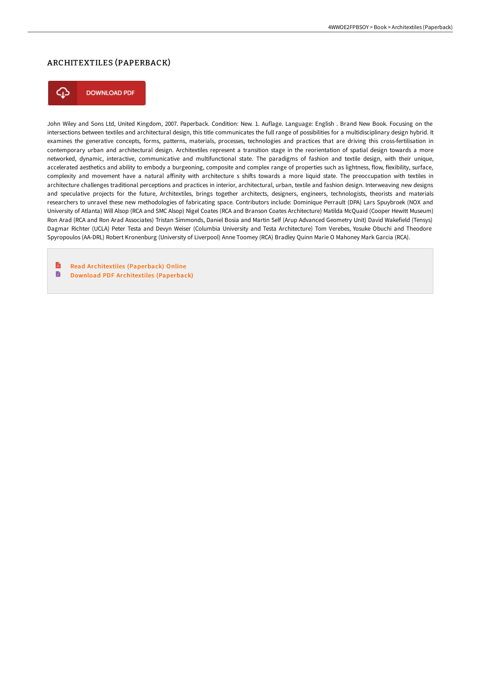## ARCHITEXTILES (PAPERBACK)



**DOWNLOAD PDF** 

John Wiley and Sons Ltd, United Kingdom, 2007. Paperback. Condition: New. 1. Auflage. Language: English . Brand New Book. Focusing on the intersections between textiles and architectural design, this title communicates the full range of possibilities for a multidisciplinary design hybrid. It examines the generative concepts, forms, patterns, materials, processes, technologies and practices that are driving this cross-fertilisation in contemporary urban and architectural design. Architextiles represent a transition stage in the reorientation of spatial design towards a more networked, dynamic, interactive, communicative and multifunctional state. The paradigms of fashion and textile design, with their unique, accelerated aesthetics and ability to embody a burgeoning, composite and complex range of properties such as lightness, flow, flexibility, surface, complexity and movement have a natural affinity with architecture s shifts towards a more liquid state. The preoccupation with textiles in architecture challenges traditional perceptions and practices in interior, architectural, urban, textile and fashion design. Interweaving new designs and speculative projects for the future, Architextiles, brings together architects, designers, engineers, technologists, theorists and materials researchers to unravel these new methodologies of fabricating space. Contributors include: Dominique Perrault (DPA) Lars Spuybroek (NOX and University of Atlanta) Will Alsop (RCA and SMC Alsop) Nigel Coates (RCA and Branson Coates Architecture) Matilda McQuaid (Cooper Hewitt Museum) Ron Arad (RCA and Ron Arad Associates) Tristan Simmonds, Daniel Bosia and Martin Self (Arup Advanced Geometry Unit) David Wakefield (Tensys) Dagmar Richter (UCLA) Peter Testa and Devyn Weiser (Columbia University and Testa Architecture) Tom Verebes, Yosuke Obuchi and Theodore Spyropoulos (AA-DRL) Robert Kronenburg (University of Liverpool) Anne Toomey (RCA) Bradley Quinn Marie O Mahoney Mark Garcia (RCA).

R Read Architextiles [\(Paperback\)](http://bookera.tech/architextiles-paperback.html) Online D Download PDF Architextiles [\(Paperback\)](http://bookera.tech/architextiles-paperback.html)